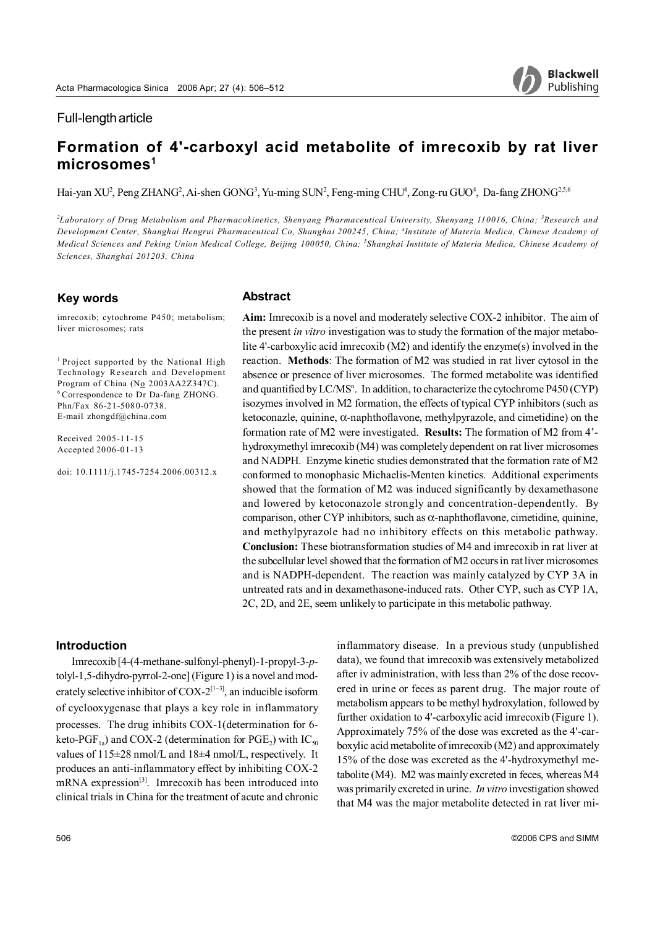# Full-length article

# **Formation of 4'-carboxyl acid metabolite of imrecoxib by rat liver** microsomes<sup>1</sup>

Hai-yan XU<sup>2</sup>, Peng ZHANG<sup>2</sup>, Ai-shen GONG<sup>3</sup>, Yu-ming SUN<sup>2</sup>, Feng-ming CHU<sup>4</sup>, Zong-ru GUO<sup>4</sup>, Da-fang ZHONG<sup>2,5,6</sup>

<sup>2</sup>Laboratory of Drug Metabolism and Pharmacokinetics, Shenyang Pharmaceutical University, Shenyang 110016, China; <sup>3</sup>Research and *Development Center, Shanghai Hengrui Pharmaceutical Co, Shanghai 200245, China; 4 Institute of Materia Medica, Chinese Academy of Medical Sciences and Peking Union Medical College, Beijing 100050, China; 5 Shanghai Institute of Materia Medica, Chinese Academy of Sciences, Shanghai 201203, China*

#### **Key words**

imrecoxib; cytochrome P450; metabolism; liver microsomes; rats

1 Project supported by the National High Technology Research and Development Program of China (No 2003AA2Z347C). 6 Correspondence to Dr Da-fang ZHONG. Phn/Fax 86-21-5080-0738. E-mail zhongdf@china.com

Received 2005-11-15 Accepted 2006-01-13

doi: 10.1111/j.1745-7254.2006.00312.x

#### **Abstract**

**Aim:** Imrecoxib is a novel and moderately selective COX-2 inhibitor. The aim of the present *in vitro* investigation was to study the formation of the major metabolite 4'-carboxylic acid imrecoxib (M2) and identify the enzyme(s) involved in the reaction. **Methods**: The formation of M2 was studied in rat liver cytosol in the absence or presence of liver microsomes. The formed metabolite was identified and quantified by LC/MS<sup>n</sup>. In addition, to characterize the cytochrome P450 (CYP) isozymes involved in M2 formation, the effects of typical CYP inhibitors (such as ketoconazle, quinine, α-naphthoflavone, methylpyrazole, and cimetidine) on the formation rate of M2 were investigated. **Results:** The formation of M2 from 4' hydroxymethyl imrecoxib (M4) was completely dependent on rat liver microsomes and NADPH. Enzyme kinetic studies demonstrated that the formation rate of M2 conformed to monophasic Michaelis-Menten kinetics. Additional experiments showed that the formation of M2 was induced significantly by dexamethasone and lowered by ketoconazole strongly and concentration-dependently. By comparison, other CYP inhibitors, such as  $\alpha$ -naphthoflavone, cimetidine, quinine, and methylpyrazole had no inhibitory effects on this metabolic pathway. **Conclusion:** These biotransformation studies of M4 and imrecoxib in rat liver at the subcellular level showed that the formation of M2 occurs in rat liver microsomes and is NADPH-dependent. The reaction was mainly catalyzed by CYP 3A in untreated rats and in dexamethasone-induced rats. Other CYP, such as CYP 1A, 2C, 2D, and 2E, seem unlikely to participate in this metabolic pathway.

#### **Introduction**

Imrecoxib [4-(4-methane-sulfonyl-phenyl)-1-propyl-3-*p*tolyl-1,5-dihydro-pyrrol-2-one] (Figure 1) is a novel and moderately selective inhibitor of COX-2<sup>[1−3]</sup>, an inducible isoform of cyclooxygenase that plays a key role in inflammatory processes. The drug inhibits COX-1(determination for 6 keto-PGF<sub>1a</sub>) and COX-2 (determination for PGE<sub>2</sub>) with IC<sub>50</sub> values of 115±28 nmol/L and 18±4 nmol/L, respectively. It produces an anti-inflammatory effect by inhibiting COX-2 mRNA expression<sup>[3]</sup>. Imrecoxib has been introduced into clinical trials in China for the treatment of acute and chronic inflammatory disease. In a previous study (unpublished data), we found that imrecoxib was extensively metabolized after iv administration, with less than 2% of the dose recovered in urine or feces as parent drug. The major route of metabolism appears to be methyl hydroxylation, followed by further oxidation to 4'-carboxylic acid imrecoxib (Figure 1). Approximately 75% of the dose was excreted as the 4'-carboxylic acid metabolite of imrecoxib (M2) and approximately 15% of the dose was excreted as the 4'-hydroxymethyl metabolite (M4). M2 was mainly excreted in feces, whereas M4 was primarily excreted in urine. *In vitro* investigation showed that M4 was the major metabolite detected in rat liver mi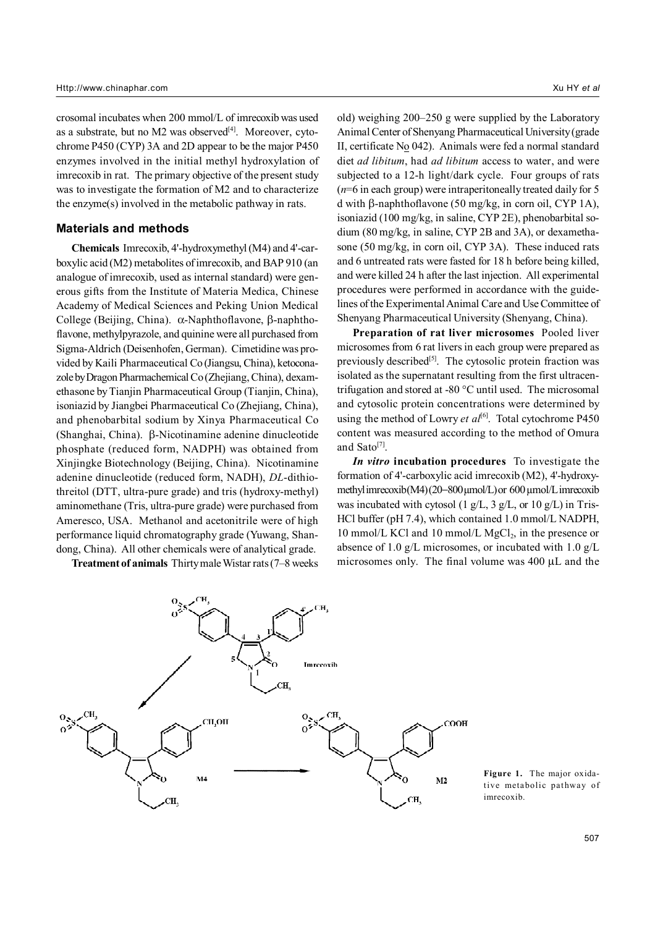crosomal incubates when 200 mmol/L of imrecoxib was used as a substrate, but no  $M2$  was observed<sup>[4]</sup>. Moreover, cytochrome P450 (CYP) 3A and 2D appear to be the major P450 enzymes involved in the initial methyl hydroxylation of imrecoxib in rat. The primary objective of the present study was to investigate the formation of M2 and to characterize the enzyme(s) involved in the metabolic pathway in rats.

#### **Materials and methods**

**Chemicals** Imrecoxib, 4'-hydroxymethyl (M4) and 4'-carboxylic acid (M2) metabolites of imrecoxib, and BAP 910 (an analogue of imrecoxib, used as internal standard) were generous gifts from the Institute of Materia Medica, Chinese Academy of Medical Sciences and Peking Union Medical College (Beijing, China). α-Naphthoflavone, β-naphthoflavone, methylpyrazole, and quinine were all purchased from Sigma-Aldrich (Deisenhofen, German). Cimetidine was provided by Kaili Pharmaceutical Co (Jiangsu, China), ketoconazole by Dragon Pharmachemical Co (Zhejiang, China), dexamethasone by Tianjin Pharmaceutical Group (Tianjin, China), isoniazid by Jiangbei Pharmaceutical Co (Zhejiang, China), and phenobarbital sodium by Xinya Pharmaceutical Co (Shanghai, China). β-Nicotinamine adenine dinucleotide phosphate (reduced form, NADPH) was obtained from Xinjingke Biotechnology (Beijing, China). Nicotinamine adenine dinucleotide (reduced form, NADH), *DL*-dithiothreitol (DTT, ultra-pure grade) and tris (hydroxy-methyl) aminomethane (Tris, ultra-pure grade) were purchased from Ameresco, USA. Methanol and acetonitrile were of high performance liquid chromatography grade (Yuwang, Shandong, China). All other chemicals were of analytical grade.

**Treatment of animals** Thirty male Wistar rats (7–8 weeks

old) weighing 200–250 g were supplied by the Laboratory Animal Center of Shenyang Pharmaceutical University (grade II, certificate  $N<sub>0</sub>$  042). Animals were fed a normal standard diet *ad libitum*, had *ad libitum* access to water, and were subjected to a 12-h light/dark cycle. Four groups of rats (*n*=6 in each group) were intraperitoneally treated daily for 5 d with β-naphthoflavone (50 mg/kg, in corn oil, CYP 1A), isoniazid (100 mg/kg, in saline, CYP 2E), phenobarbital sodium (80 mg/kg, in saline, CYP 2B and 3A), or dexamethasone (50 mg/kg, in corn oil, CYP 3A). These induced rats and 6 untreated rats were fasted for 18 h before being killed, and were killed 24 h after the last injection. All experimental procedures were performed in accordance with the guidelines of the Experimental Animal Care and Use Committee of Shenyang Pharmaceutical University (Shenyang, China).

**Preparation of rat liver microsomes** Pooled liver microsomes from 6 rat livers in each group were prepared as previously described<sup>[5]</sup>. The cytosolic protein fraction was isolated as the supernatant resulting from the first ultracentrifugation and stored at -80 °C until used. The microsomal and cytosolic protein concentrations were determined by using the method of Lowry *et al*<sup>[6]</sup>. Total cytochrome P450 content was measured according to the method of Omura and Sato<sup>[7]</sup>.

*In vitro* **incubation procedures** To investigate the formation of 4'-carboxylic acid imrecoxib (M2), 4'-hydroxymethyl imrecoxib (M4) (20−800 µmol/L) or 600 µmol/L imrecoxib was incubated with cytosol (1 g/L, 3 g/L, or 10 g/L) in Tris-HCl buffer (pH 7.4), which contained 1.0 mmol/L NADPH, 10 mmol/L KCl and 10 mmol/L MgCl<sub>2</sub>, in the presence or absence of 1.0 g/L microsomes, or incubated with 1.0 g/L microsomes only. The final volume was 400 µL and the



**Figure 1.** The major oxidative metabolic pathway of imrecoxib.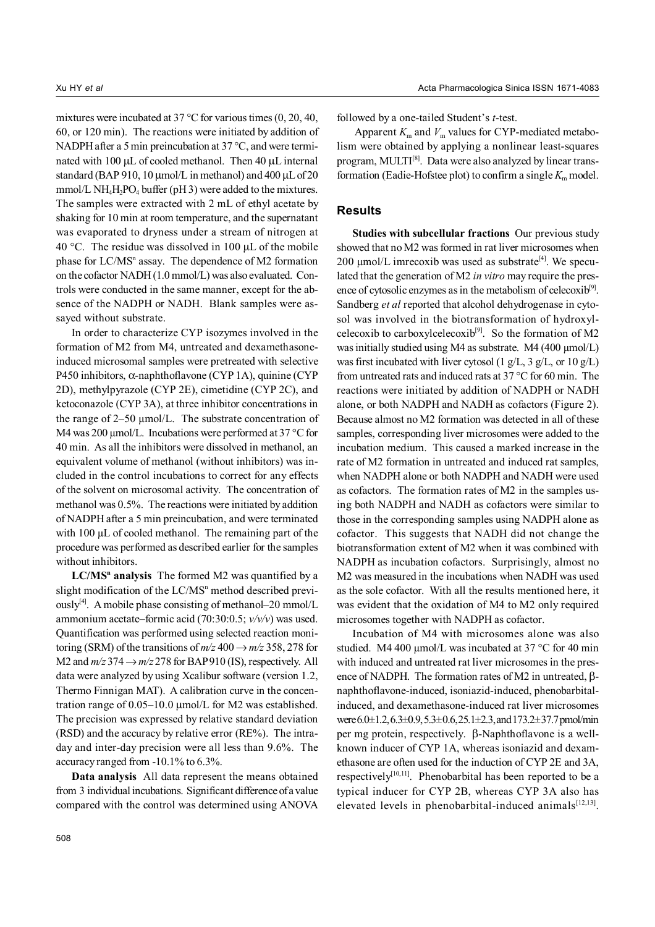mixtures were incubated at 37 °C for various times (0, 20, 40, 60, or 120 min). The reactions were initiated by addition of NADPH after a 5 min preincubation at 37 °C, and were terminated with 100 µL of cooled methanol. Then 40 µL internal standard (BAP 910, 10 µmol/L in methanol) and 400 µL of 20 mmol/L NH<sub>4</sub>H<sub>2</sub>PO<sub>4</sub> buffer (pH 3) were added to the mixtures. The samples were extracted with 2 mL of ethyl acetate by shaking for 10 min at room temperature, and the supernatant was evaporated to dryness under a stream of nitrogen at 40 °C. The residue was dissolved in 100 µL of the mobile phase for LC/MS<sup>n</sup> assay. The dependence of M2 formation on the cofactor NADH (1.0 mmol/L) was also evaluated. Controls were conducted in the same manner, except for the absence of the NADPH or NADH. Blank samples were assayed without substrate.

In order to characterize CYP isozymes involved in the formation of M2 from M4, untreated and dexamethasoneinduced microsomal samples were pretreated with selective P450 inhibitors, α-naphthoflavone (CYP 1A), quinine (CYP 2D), methylpyrazole (CYP 2E), cimetidine (CYP 2C), and ketoconazole (CYP 3A), at three inhibitor concentrations in the range of 2–50 µmol/L. The substrate concentration of M4 was 200  $\mu$ mol/L. Incubations were performed at 37 °C for 40 min. As all the inhibitors were dissolved in methanol, an equivalent volume of methanol (without inhibitors) was included in the control incubations to correct for any effects of the solvent on microsomal activity. The concentration of methanol was 0.5%. The reactions were initiated by addition of NADPH after a 5 min preincubation, and were terminated with 100 µL of cooled methanol. The remaining part of the procedure was performed as described earlier for the samples without inhibitors.

LC/MS<sup>n</sup> analysis The formed M2 was quantified by a slight modification of the LC/MS<sup>n</sup> method described previously<sup>[4]</sup>. A mobile phase consisting of methanol–20 mmol/L ammonium acetate–formic acid (70:30:0.5; *v/v/v*) was used. Quantification was performed using selected reaction monitoring (SRM) of the transitions of  $m/z$  400  $\rightarrow$   $m/z$  358, 278 for M2 and  $m/z$  374  $\rightarrow$   $m/z$  278 for BAP 910 (IS), respectively. All data were analyzed by using Xcalibur software (version 1.2, Thermo Finnigan MAT). A calibration curve in the concentration range of 0.05–10.0 µmol/L for M2 was established. The precision was expressed by relative standard deviation (RSD) and the accuracy by relative error (RE%). The intraday and inter-day precision were all less than 9.6%. The accuracy ranged from -10.1% to 6.3%.

**Data analysis** All data represent the means obtained from 3 individual incubations. Significant difference of a value compared with the control was determined using ANOVA followed by a one-tailed Student's *t*-test.

Apparent  $K_m$  and  $V_m$  values for CYP-mediated metabolism were obtained by applying a nonlinear least-squares program, MULTI<sup>[8]</sup>. Data were also analyzed by linear transformation (Eadie-Hofstee plot) to confirm a single  $K<sub>m</sub>$  model.

## **Results**

**Studies with subcellular fractions** Our previous study showed that no M2 was formed in rat liver microsomes when 200  $\mu$ mol/L imrecoxib was used as substrate<sup>[4]</sup>. We speculated that the generation of M2 *in vitro* may require the presence of cytosolic enzymes as in the metabolism of celecoxi $b^{[9]}$ . Sandberg *et al* reported that alcohol dehydrogenase in cytosol was involved in the biotransformation of hydroxylcelecoxib to carboxylcelecoxib<sup>[9]</sup>. So the formation of M2 was initially studied using M4 as substrate. M4 (400 µmol/L) was first incubated with liver cytosol (1  $g/L$ , 3  $g/L$ , or 10  $g/L$ ) from untreated rats and induced rats at 37 °C for 60 min. The reactions were initiated by addition of NADPH or NADH alone, or both NADPH and NADH as cofactors (Figure 2). Because almost no M2 formation was detected in all of these samples, corresponding liver microsomes were added to the incubation medium. This caused a marked increase in the rate of M2 formation in untreated and induced rat samples, when NADPH alone or both NADPH and NADH were used as cofactors. The formation rates of M2 in the samples using both NADPH and NADH as cofactors were similar to those in the corresponding samples using NADPH alone as cofactor. This suggests that NADH did not change the biotransformation extent of M2 when it was combined with NADPH as incubation cofactors. Surprisingly, almost no M2 was measured in the incubations when NADH was used as the sole cofactor. With all the results mentioned here, it was evident that the oxidation of M4 to M2 only required microsomes together with NADPH as cofactor.

Incubation of M4 with microsomes alone was also studied. M4 400  $\mu$ mol/L was incubated at 37 °C for 40 min with induced and untreated rat liver microsomes in the presence of NADPH. The formation rates of M2 in untreated,  $β$ naphthoflavone-induced, isoniazid-induced, phenobarbitalinduced, and dexamethasone-induced rat liver microsomes were  $6.0 \pm 1.2$ ,  $6.3 \pm 0.9$ ,  $5.3 \pm 0.6$ ,  $25.1 \pm 2.3$ , and  $173.2 \pm 37.7$  pmol/min per mg protein, respectively. β-Naphthoflavone is a wellknown inducer of CYP 1A, whereas isoniazid and dexamethasone are often used for the induction of CYP 2E and 3A, respectively<sup>[10,11]</sup>. Phenobarbital has been reported to be a typical inducer for CYP 2B, whereas CYP 3A also has elevated levels in phenobarbital-induced animals $[12,13]$ .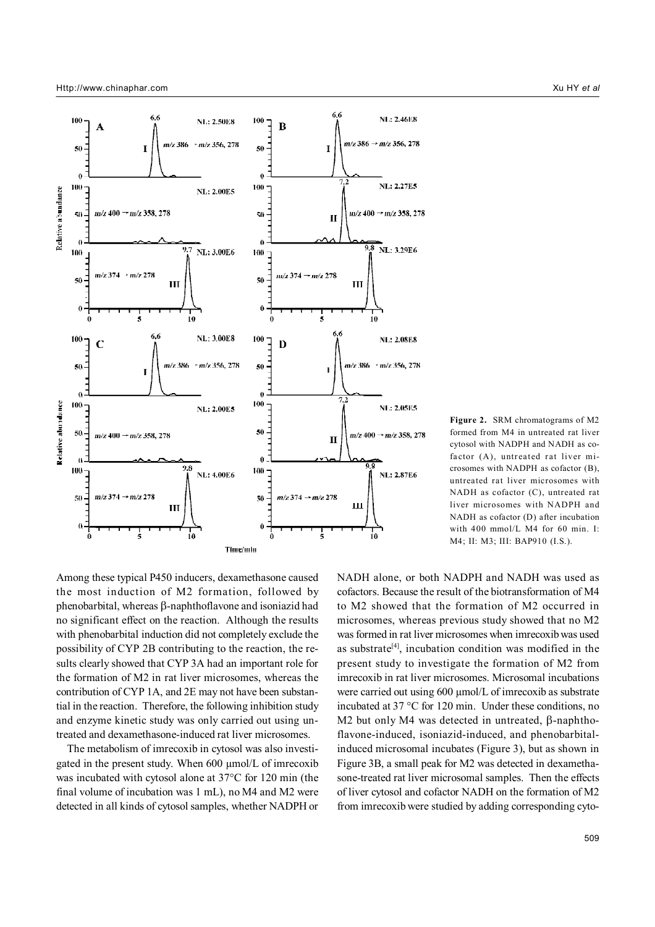

**Figure 2.** SRM chromatograms of M2 formed from M4 in untreated rat liver cytosol with NADPH and NADH as cofactor (A), untreated rat liver microsomes with NADPH as cofactor (B), untreated rat liver microsomes with NADH as cofactor (C), untreated rat liver microsomes with NADPH and NADH as cofactor (D) after incubation with 400 mmol/L M4 for 60 min. I: M4; II: M3; III: BAP910 (I.S.).

Among these typical P450 inducers, dexamethasone caused the most induction of M2 formation, followed by phenobarbital, whereas β-naphthoflavone and isoniazid had no significant effect on the reaction. Although the results with phenobarbital induction did not completely exclude the possibility of CYP 2B contributing to the reaction, the results clearly showed that CYP 3A had an important role for the formation of M2 in rat liver microsomes, whereas the contribution of CYP 1A, and 2E may not have been substantial in the reaction. Therefore, the following inhibition study and enzyme kinetic study was only carried out using untreated and dexamethasone-induced rat liver microsomes.

 The metabolism of imrecoxib in cytosol was also investigated in the present study. When 600 µmol/L of imrecoxib was incubated with cytosol alone at 37°C for 120 min (the final volume of incubation was 1 mL), no M4 and M2 were detected in all kinds of cytosol samples, whether NADPH or NADH alone, or both NADPH and NADH was used as cofactors. Because the result of the biotransformation of M4 to M2 showed that the formation of M2 occurred in microsomes, whereas previous study showed that no M2 was formed in rat liver microsomes when imrecoxib was used as substrate<sup>[4]</sup>, incubation condition was modified in the present study to investigate the formation of M2 from imrecoxib in rat liver microsomes. Microsomal incubations were carried out using 600 µmol/L of imrecoxib as substrate incubated at 37 °C for 120 min. Under these conditions, no M2 but only M4 was detected in untreated, β-naphthoflavone-induced, isoniazid-induced, and phenobarbitalinduced microsomal incubates (Figure 3), but as shown in Figure 3B, a small peak for M2 was detected in dexamethasone-treated rat liver microsomal samples. Then the effects of liver cytosol and cofactor NADH on the formation of M2 from imrecoxib were studied by adding corresponding cyto-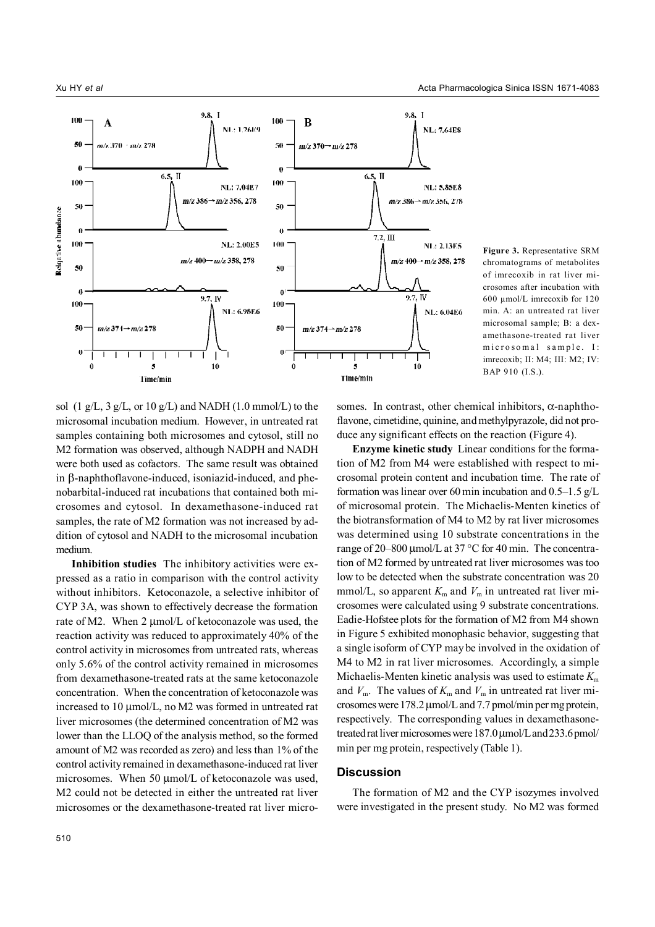

**Figure 3.** Representative SRM chromatograms of metabolites of imrecoxib in rat liver microsomes after incubation with 600 µmol/L imrecoxib for 120 min. A: an untreated rat liver microsomal sample; B: a dexamethasone-treated rat liver microsomal sample. I: imrecoxib; II: M4; III: M2; IV: BAP 910 (I.S.).

sol (1 g/L, 3 g/L, or 10 g/L) and NADH (1.0 mmol/L) to the microsomal incubation medium. However, in untreated rat samples containing both microsomes and cytosol, still no M2 formation was observed, although NADPH and NADH were both used as cofactors. The same result was obtained in β-naphthoflavone-induced, isoniazid-induced, and phenobarbital-induced rat incubations that contained both microsomes and cytosol. In dexamethasone-induced rat samples, the rate of M2 formation was not increased by addition of cytosol and NADH to the microsomal incubation medium.

**Inhibition studies** The inhibitory activities were expressed as a ratio in comparison with the control activity without inhibitors. Ketoconazole, a selective inhibitor of CYP 3A, was shown to effectively decrease the formation rate of M2. When 2 µmol/L of ketoconazole was used, the reaction activity was reduced to approximately 40% of the control activity in microsomes from untreated rats, whereas only 5.6% of the control activity remained in microsomes from dexamethasone-treated rats at the same ketoconazole concentration. When the concentration of ketoconazole was increased to 10 µmol/L, no M2 was formed in untreated rat liver microsomes (the determined concentration of M2 was lower than the LLOQ of the analysis method, so the formed amount of M2 was recorded as zero) and less than 1% of the control activity remained in dexamethasone-induced rat liver microsomes. When 50  $\mu$ mol/L of ketoconazole was used, M2 could not be detected in either the untreated rat liver microsomes or the dexamethasone-treated rat liver microsomes. In contrast, other chemical inhibitors,  $\alpha$ -naphthoflavone, cimetidine, quinine, and methylpyrazole, did not produce any significant effects on the reaction (Figure 4).

**Enzyme kinetic study** Linear conditions for the formation of M2 from M4 were established with respect to microsomal protein content and incubation time. The rate of formation was linear over 60 min incubation and 0.5–1.5 g/L of microsomal protein. The Michaelis-Menten kinetics of the biotransformation of M4 to M2 by rat liver microsomes was determined using 10 substrate concentrations in the range of 20–800 µmol/L at 37 °C for 40 min. The concentration of M2 formed by untreated rat liver microsomes was too low to be detected when the substrate concentration was 20 mmol/L, so apparent  $K_m$  and  $V_m$  in untreated rat liver microsomes were calculated using 9 substrate concentrations. Eadie-Hofstee plots for the formation of M2 from M4 shown in Figure 5 exhibited monophasic behavior, suggesting that a single isoform of CYP may be involved in the oxidation of M4 to M2 in rat liver microsomes. Accordingly, a simple Michaelis-Menten kinetic analysis was used to estimate  $K<sub>m</sub>$ and  $V_m$ . The values of  $K_m$  and  $V_m$  in untreated rat liver microsomes were 178.2 µmol/L and 7.7 pmol/min per mg protein, respectively. The corresponding values in dexamethasonetreated rat liver microsomes were 187.0 µmol/L and 233.6 pmol/ min per mg protein, respectively (Table 1).

#### **Discussion**

The formation of M2 and the CYP isozymes involved were investigated in the present study. No M2 was formed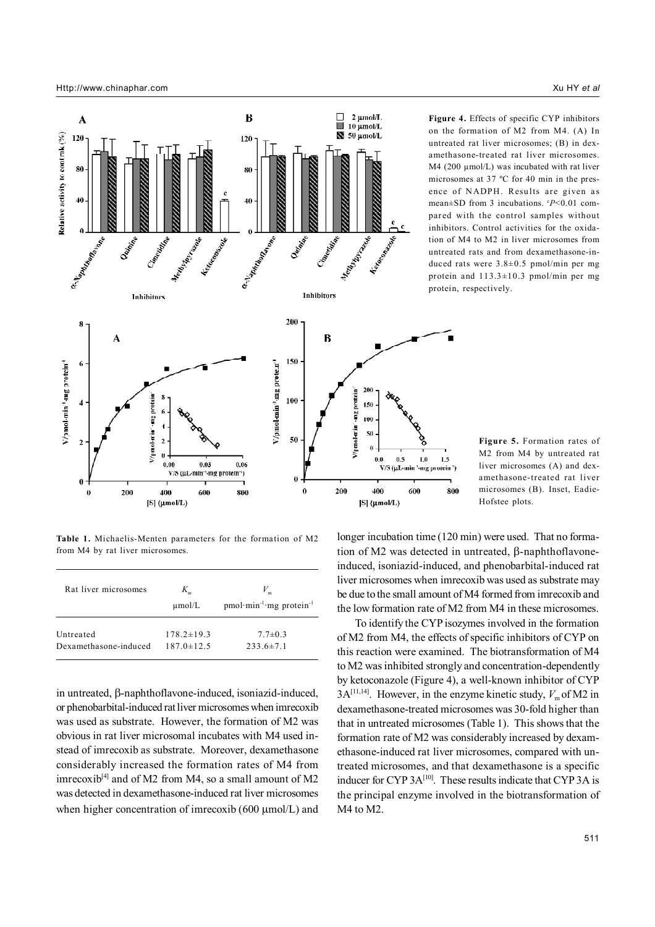

**Figure 4.** Effects of specific CYP inhibitors on the formation of M2 from M4. (A) In untreated rat liver microsomes; (B) in dexamethasone-treated rat liver microsomes.  $M4$  (200  $\mu$ mol/L) was incubated with rat liver microsomes at 37 ºC for 40 min in the presence of NADPH. Results are given as mean±SD from 3 incubations. °P<0.01 compared with the control samples without inhibitors. Control activities for the oxidation of M4 to M2 in liver microsomes from untreated rats and from dexamethasone-induced rats were 3.8±0.5 pmol/min per mg protein and 113.3±10.3 pmol/min per mg protein, respectively.

**Table 1.** Michaelis-Menten parameters for the formation of M2 from M4 by rat liver microsomes.

| Rat liver microsomes  | $K_{m}$<br>$\mu$ mol/L | $pmol·min-1·mg protein-1$ |
|-----------------------|------------------------|---------------------------|
| Untreated             | $178.2 \pm 19.3$       | $7.7 \pm 0.3$             |
| Dexamethasone-induced | $187.0 \pm 12.5$       | $233.6 \pm 7.1$           |

in untreated, β-naphthoflavone-induced, isoniazid-induced, or phenobarbital-induced rat liver microsomes when imrecoxib was used as substrate. However, the formation of M2 was obvious in rat liver microsomal incubates with M4 used instead of imrecoxib as substrate. Moreover, dexamethasone considerably increased the formation rates of M4 from imrecoxib<sup>[4]</sup> and of M2 from M4, so a small amount of M2 was detected in dexamethasone-induced rat liver microsomes when higher concentration of imrecoxib (600 µmol/L) and

**Figure 5.** Formation rates of M2 from M4 by untreated rat liver microsomes (A) and dexamethasone-treated rat liver microsomes (B). Inset, Eadie-Hofstee plots.

longer incubation time (120 min) were used. That no formation of M2 was detected in untreated, β-naphthoflavoneinduced, isoniazid-induced, and phenobarbital-induced rat liver microsomes when imrecoxib was used as substrate may be due to the small amount of M4 formed from imrecoxib and the low formation rate of M2 from M4 in these microsomes.

800

 To identify the CYP isozymes involved in the formation of M2 from M4, the effects of specific inhibitors of CYP on this reaction were examined. The biotransformation of M4 to M2 was inhibited strongly and concentration-dependently by ketoconazole (Figure 4), a well-known inhibitor of CYP  $3A^{[11,14]}$ . However, in the enzyme kinetic study,  $V_m$  of M2 in dexamethasone-treated microsomes was 30-fold higher than that in untreated microsomes (Table 1). This shows that the formation rate of M2 was considerably increased by dexamethasone-induced rat liver microsomes, compared with untreated microsomes, and that dexamethasone is a specific inducer for CYP 3A<sup>[10]</sup>. These results indicate that CYP 3A is the principal enzyme involved in the biotransformation of M4 to M2.